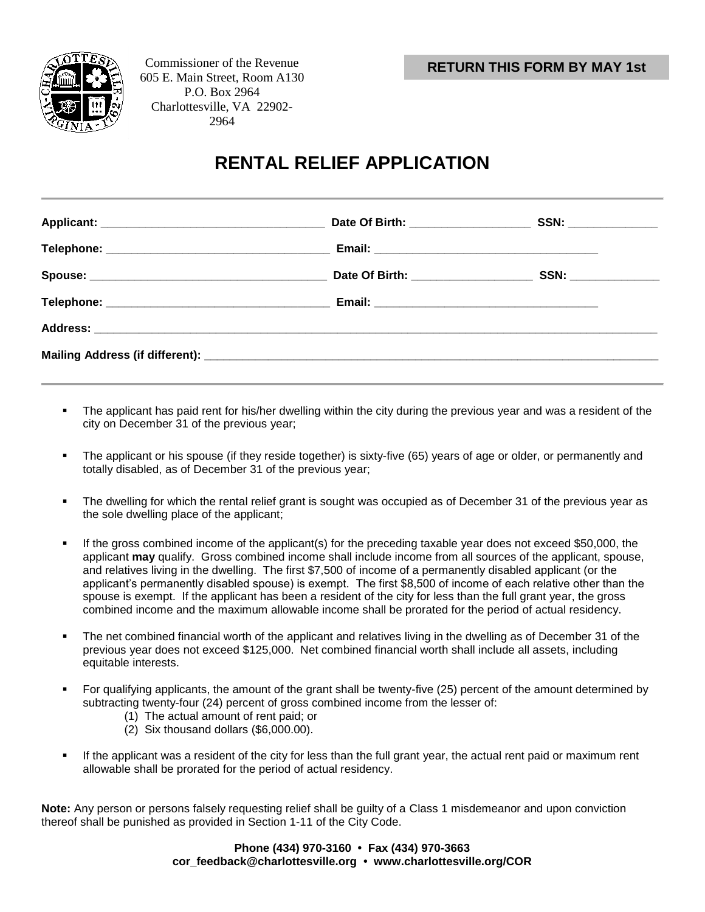



Commissioner of the Revenue 605 E. Main Street, Room A130 P.O. Box 2964 Charlottesville, VA 22902- 2964

## **RENTAL RELIEF APPLICATION**

|  | Date Of Birth: ___________________ | SSN: _______________ |  |  |  |
|--|------------------------------------|----------------------|--|--|--|
|  |                                    |                      |  |  |  |
|  |                                    |                      |  |  |  |
|  |                                    |                      |  |  |  |

- The applicant has paid rent for his/her dwelling within the city during the previous year and was a resident of the city on December 31 of the previous year;
- The applicant or his spouse (if they reside together) is sixty-five (65) years of age or older, or permanently and totally disabled, as of December 31 of the previous year;
- The dwelling for which the rental relief grant is sought was occupied as of December 31 of the previous year as the sole dwelling place of the applicant;
- If the gross combined income of the applicant(s) for the preceding taxable year does not exceed \$50,000, the applicant **may** qualify. Gross combined income shall include income from all sources of the applicant, spouse, and relatives living in the dwelling. The first \$7,500 of income of a permanently disabled applicant (or the applicant's permanently disabled spouse) is exempt. The first \$8,500 of income of each relative other than the spouse is exempt. If the applicant has been a resident of the city for less than the full grant year, the gross combined income and the maximum allowable income shall be prorated for the period of actual residency.
- The net combined financial worth of the applicant and relatives living in the dwelling as of December 31 of the previous year does not exceed \$125,000. Net combined financial worth shall include all assets, including equitable interests.
- For qualifying applicants, the amount of the grant shall be twenty-five (25) percent of the amount determined by subtracting twenty-four (24) percent of gross combined income from the lesser of:
	- (1) The actual amount of rent paid; or
	- (2) Six thousand dollars (\$6,000.00).
- If the applicant was a resident of the city for less than the full grant year, the actual rent paid or maximum rent allowable shall be prorated for the period of actual residency.

**Note:** Any person or persons falsely requesting relief shall be guilty of a Class 1 misdemeanor and upon conviction thereof shall be punished as provided in Section 1-11 of the City Code.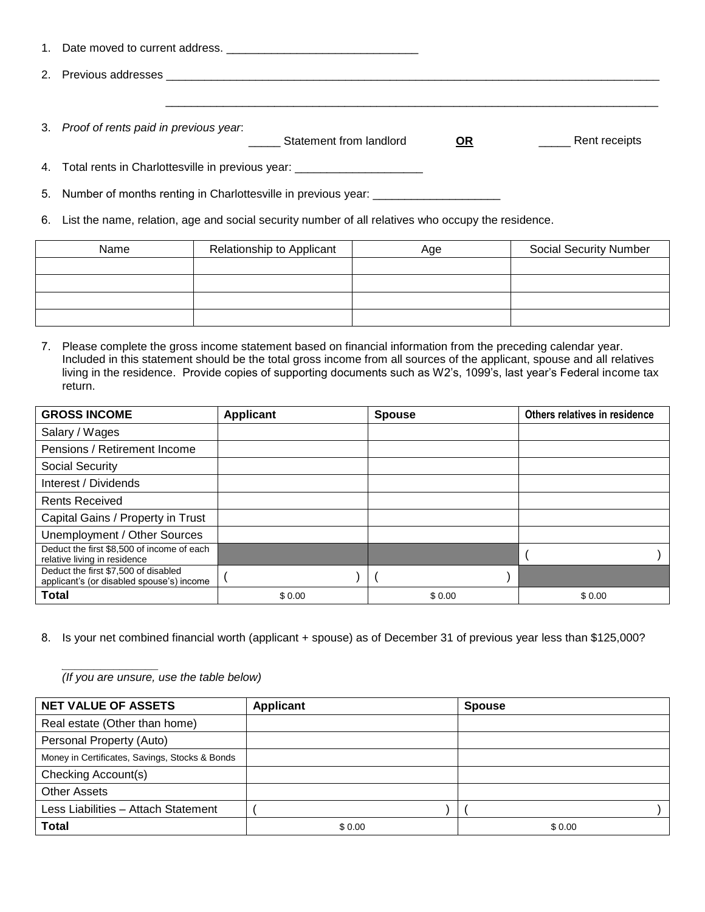| 1. |                                                                                  |           |               |
|----|----------------------------------------------------------------------------------|-----------|---------------|
| 2. |                                                                                  |           |               |
|    |                                                                                  |           |               |
|    | 3. Proof of rents paid in previous year.<br>Statement from landlord              | <b>OR</b> | Rent receipts |
|    | 4. Total rents in Charlottesville in previous year: ____________________________ |           |               |
|    | 5. Number of months renting in Charlottesville in previous year: _______________ |           |               |

6. List the name, relation, age and social security number of all relatives who occupy the residence.

| Name | Relationship to Applicant | Age | <b>Social Security Number</b> |  |
|------|---------------------------|-----|-------------------------------|--|
|      |                           |     |                               |  |
|      |                           |     |                               |  |
|      |                           |     |                               |  |
|      |                           |     |                               |  |

7. Please complete the gross income statement based on financial information from the preceding calendar year. Included in this statement should be the total gross income from all sources of the applicant, spouse and all relatives living in the residence. Provide copies of supporting documents such as W2's, 1099's, last year's Federal income tax return.

| <b>GROSS INCOME</b>                                                               | <b>Applicant</b> | <b>Spouse</b> | Others relatives in residence |
|-----------------------------------------------------------------------------------|------------------|---------------|-------------------------------|
| Salary / Wages                                                                    |                  |               |                               |
| Pensions / Retirement Income                                                      |                  |               |                               |
| Social Security                                                                   |                  |               |                               |
| Interest / Dividends                                                              |                  |               |                               |
| <b>Rents Received</b>                                                             |                  |               |                               |
| Capital Gains / Property in Trust                                                 |                  |               |                               |
| Unemployment / Other Sources                                                      |                  |               |                               |
| Deduct the first \$8,500 of income of each<br>relative living in residence        |                  |               |                               |
| Deduct the first \$7,500 of disabled<br>applicant's (or disabled spouse's) income |                  |               |                               |
| <b>Total</b>                                                                      | \$0.00           | \$0.00        | \$0.00                        |

8. Is your net combined financial worth (applicant + spouse) as of December 31 of previous year less than \$125,000?

 $\frac{1}{2}$ *(If you are unsure, use the table below)*

| <b>NET VALUE OF ASSETS</b>                     | <b>Applicant</b> | <b>Spouse</b> |
|------------------------------------------------|------------------|---------------|
| Real estate (Other than home)                  |                  |               |
| Personal Property (Auto)                       |                  |               |
| Money in Certificates, Savings, Stocks & Bonds |                  |               |
| Checking Account(s)                            |                  |               |
| <b>Other Assets</b>                            |                  |               |
| Less Liabilities - Attach Statement            |                  |               |
| <b>Total</b>                                   | \$0.00           | \$0.00        |